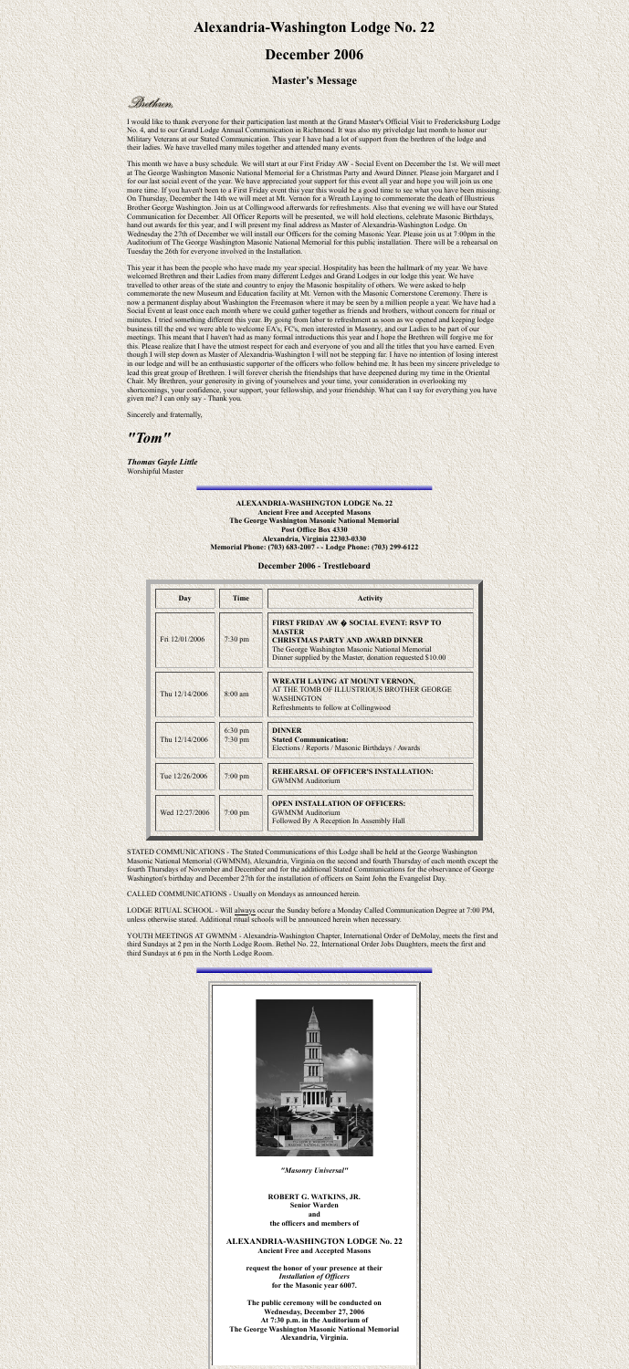# **Alexandria-Washington Lodge No. 22**

## **December 2006**

### **Master's Message**

Brethren.

I would like to thank everyone for their participation last month at the Grand Master's Official Visit to Fredericksburg Lodge No. 4, and to our Grand Lodge Annual Communication in Richmond. It was also my priveledge last month to honor our Military Veterans at our Stated Communication. This year I have had a lot of support from the brethren of the lodge and their ladies. We have travelled many miles together and attended many events.

This month we have a busy schedule. We will start at our First Friday AW - Social Event on December the 1st. We will meet at The George Washington Masonic National Memorial for a Christmas Party and Award Dinner. Please join Margaret and I for our last social event of the year. We have appreciated your support for this event all year and hope you will join us one more time. If you haven't been to a First Friday event this year this would be a good time to see what you have been missing. On Thursday, December the 14th we will meet at Mt. Vernon for a Wreath Laying to commemorate the death of Illustrious Brother George Washington. Join us at Collingwood afterwards for refreshments. Also that evening we will have our Stated Communication for December. All Officer Reports will be presented, we will hold elections, celebrate Masonic Birthdays, hand out awards for this year, and I will present my final address as Master of Alexandria-Washington Lodge. On Wednesday the 27th of December we will install our Officers for the coming Masonic Year. Please join us at 7:00pm in the Auditorium of The George Washington Masonic National Memorial for this public installation. There will be a rehearsal on Tuesday the 26th for everyone involved in the Installation.

This year it has been the people who have made my year special. Hospitality has been the hallmark of my year. We have welcomed Brethren and their Ladies from many different Ledges and Grand Lodges in our lodge this year. We have travelled to other areas of the state and country to enjoy the Masonic hospitality of others. We were asked to help commemorate the new Museum and Education facility at Mt. Vernon with the Masonic Cornerstone Ceremony. There is now a permanent display about Washington the Freemason where it may be seen by a million people a year. We have had a Social Event at least once each month where we could gather together as friends and brothers, without concern for ritual or minutes. I tried something different this year. By going from labor to refreshment as soon as we opened and keeping lodge business till the end we were able to welcome EA's, FC's, men interested in Masonry, and our Ladies to be part of our meetings. This meant that I haven't had as many formal introductions this year and I hope the Brethren will forgive me for this. Please realize that I have the utmost respect for each and everyone of you and all the titles that you have earned. Even though I will step down as Master of Alexandria-Washington I will not be stepping far. I have no intention of losing interest in our lodge and will be an enthusiastic supporter of the officers who follow behind me. It has been my sincere priveledge to lead this great group of Brethren. I will forever cherish the friendships that have deepened during my time in the Oriental Chair. My Brethren, your generosity in giving of yourselves and your time, your consideration in overlooking my shortcomings, your confidence, your support, your fellowship, and your friendship. What can I say for everything you have given me? I can only say - Thank you.

Sincerely and fraternally,

*"Tom"*

*Thomas Gayle Little* Worshipful Master

> **ALEXANDRIA-WASHINGTON LODGE No. 22 Ancient Free and Accepted Masons The George Washington Masonic National Memorial Post Office Box 4330 Alexandria, Virginia 22303-0330 Memorial Phone: (703) 683-2007 - - Lodge Phone: (703) 299-6122**

#### **December 2006 - Trestleboard**

| Day            | <b>Time</b>          | <b>Activity</b>                                                                                                                                                                                                            |
|----------------|----------------------|----------------------------------------------------------------------------------------------------------------------------------------------------------------------------------------------------------------------------|
| Fri 12/01/2006 | $7:30$ pm            | <b>FIRST FRIDAY AW ♦ SOCIAL EVENT: RSVP TO</b><br><b>MASTER</b><br><b>CHRISTMAS PARTY AND AWARD DINNER</b><br>The George Washington Masonic National Memorial<br>Dinner supplied by the Master, donation requested \$10.00 |
| Thu 12/14/2006 | $8:00 \text{ am}$    | <b>WREATH LAYING AT MOUNT VERNON,</b><br>AT THE TOMB OF ILLUSTRIOUS BROTHER GEORGE<br><b>WASHINGTON</b><br>Refreshments to follow at Collingwood                                                                           |
| Thu 12/14/2006 | 6:30 pm<br>$7:30$ pm | <b>DINNER</b><br><b>Stated Communication:</b><br>Elections / Reports / Masonic Birthdays / Awards                                                                                                                          |
| Tue 12/26/2006 | $7:00 \text{ pm}$    | <b>REHEARSAL OF OFFICER'S INSTALLATION:</b><br><b>GWMNM Auditorium</b>                                                                                                                                                     |
| Wed 12/27/2006 | $7:00 \text{ pm}$    | <b>OPEN INSTALLATION OF OFFICERS:</b><br><b>GWMNM Auditorium</b><br>Followed By A Reception In Assembly Hall                                                                                                               |

STATED COMMUNICATIONS - The Stated Communications of this Lodge shall be held at the George Washington Masonic National Memorial (GWMNM), Alexandria, Virginia on the second and fourth Thursday of each month except the fourth Thursdays of November and December and for the additional Stated Communications for the observance of George Washington's birthday and December 27th for the installation of officers on Saint John the Evangelist Day.

CALLED COMMUNICATIONS - Usually on Mondays as announced herein.

LODGE RITUAL SCHOOL - Will always occur the Sunday before a Monday Called Communication Degree at 7:00 PM, unless otherwise stated. Additional ritual schools will be announced herein when necessary.

YOUTH MEETINGS AT GWMNM - Alexandria-Washington Chapter, International Order of DeMolay, meets the first and third Sundays at 2 pm in the North Lodge Room. Bethel No. 22, International Order Jobs Daughters, meets the first and third Sundays at 6 pm in the North Lodge Room.





*"Masonry Universal"*

#### **ROBERT G. WATKINS, JR. Senior Warden and the officers and members of**

#### **ALEXANDRIA-WASHINGTON LODGE No. 22 Ancient Free and Accepted Masons**

**request the honor of your presence at their** *Installation of Officers* **for the Masonic year 6007.**

**The public ceremony will be conducted on Wednesday, December 27, 2006 At 7:30 p.m. in the Auditorium of The George Washington Masonic National Memorial Alexandria, Virginia.**